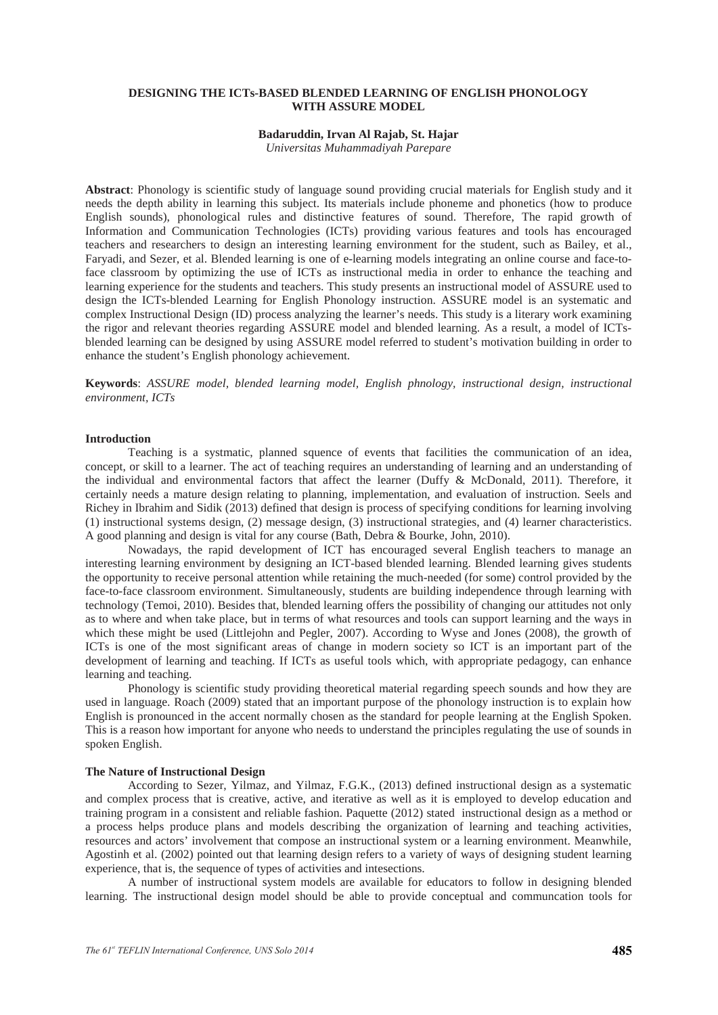## **DESIGNING THE ICTs-BASED BLENDED LEARNING OF ENGLISH PHONOLOGY WITH ASSURE MODEL**

#### **Badaruddin, Irvan Al Rajab, St. Hajar**

*Universitas Muhammadiyah Parepare*

**Abstract**: Phonology is scientific study of language sound providing crucial materials for English study and it needs the depth ability in learning this subject. Its materials include phoneme and phonetics (how to produce English sounds), phonological rules and distinctive features of sound. Therefore, The rapid growth of Information and Communication Technologies (ICTs) providing various features and tools has encouraged teachers and researchers to design an interesting learning environment for the student, such as Bailey, et al., Faryadi, and Sezer, et al. Blended learning is one of e-learning models integrating an online course and face-toface classroom by optimizing the use of ICTs as instructional media in order to enhance the teaching and learning experience for the students and teachers. This study presents an instructional model of ASSURE used to design the ICTs-blended Learning for English Phonology instruction. ASSURE model is an systematic and complex Instructional Design (ID) process analyzing the learner's needs. This study is a literary work examining the rigor and relevant theories regarding ASSURE model and blended learning. As a result, a model of ICTsblended learning can be designed by using ASSURE model referred to student's motivation building in order to enhance the student's English phonology achievement.

**Keywords**: *ASSURE model, blended learning model, English phnology, instructional design, instructional environment, ICTs* 

#### **Introduction**

Teaching is a systmatic, planned squence of events that facilities the communication of an idea, concept, or skill to a learner. The act of teaching requires an understanding of learning and an understanding of the individual and environmental factors that affect the learner (Duffy & McDonald, 2011). Therefore, it certainly needs a mature design relating to planning, implementation, and evaluation of instruction. Seels and Richey in Ibrahim and Sidik (2013) defined that design is process of specifying conditions for learning involving (1) instructional systems design, (2) message design, (3) instructional strategies, and (4) learner characteristics. A good planning and design is vital for any course (Bath, Debra & Bourke, John, 2010).

Nowadays, the rapid development of ICT has encouraged several English teachers to manage an interesting learning environment by designing an ICT-based blended learning. Blended learning gives students the opportunity to receive personal attention while retaining the much-needed (for some) control provided by the face-to-face classroom environment. Simultaneously, students are building independence through learning with technology (Temoi, 2010). Besides that, blended learning offers the possibility of changing our attitudes not only as to where and when take place, but in terms of what resources and tools can support learning and the ways in which these might be used (Littlejohn and Pegler, 2007). According to Wyse and Jones (2008), the growth of ICTs is one of the most significant areas of change in modern society so ICT is an important part of the development of learning and teaching. If ICTs as useful tools which, with appropriate pedagogy, can enhance learning and teaching.

Phonology is scientific study providing theoretical material regarding speech sounds and how they are used in language. Roach (2009) stated that an important purpose of the phonology instruction is to explain how English is pronounced in the accent normally chosen as the standard for people learning at the English Spoken. This is a reason how important for anyone who needs to understand the principles regulating the use of sounds in spoken English.

## **The Nature of Instructional Design**

According to Sezer, Yilmaz, and Yilmaz, F.G.K., (2013) defined instructional design as a systematic and complex process that is creative, active, and iterative as well as it is employed to develop education and training program in a consistent and reliable fashion. Paquette (2012) stated instructional design as a method or a process helps produce plans and models describing the organization of learning and teaching activities, resources and actors' involvement that compose an instructional system or a learning environment. Meanwhile, Agostinh et al. (2002) pointed out that learning design refers to a variety of ways of designing student learning experience, that is, the sequence of types of activities and intesections.

A number of instructional system models are available for educators to follow in designing blended learning. The instructional design model should be able to provide conceptual and communcation tools for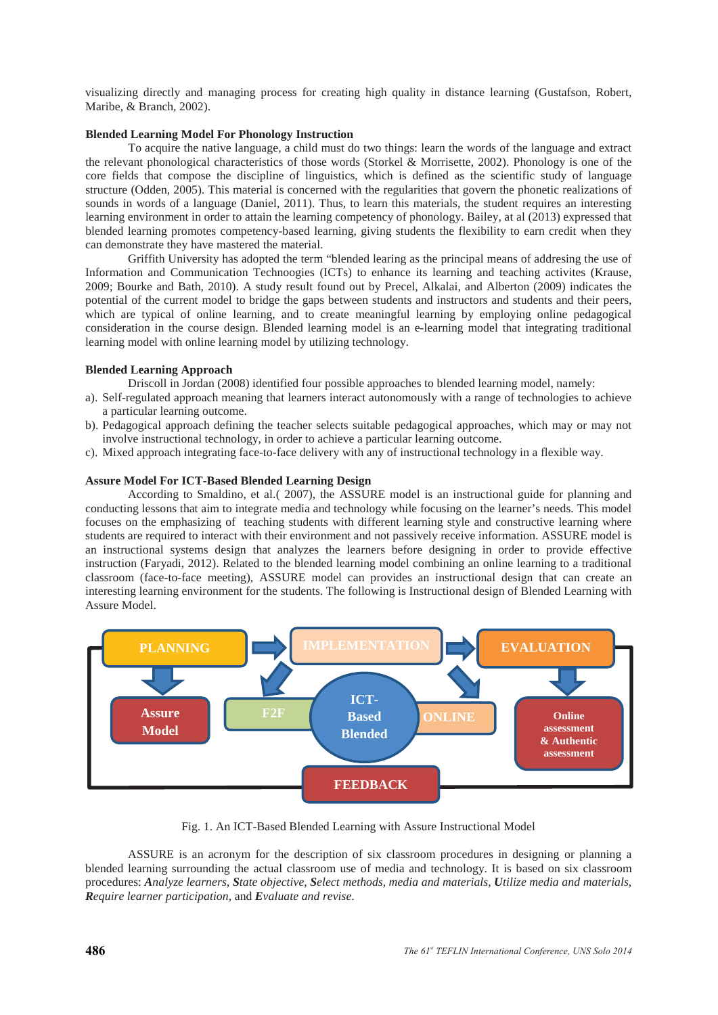visualizing directly and managing process for creating high quality in distance learning (Gustafson, Robert, Maribe, & Branch, 2002).

## **Blended Learning Model For Phonology Instruction**

To acquire the native language, a child must do two things: learn the words of the language and extract the relevant phonological characteristics of those words (Storkel & Morrisette, 2002). Phonology is one of the core fields that compose the discipline of linguistics, which is defined as the scientific study of language structure (Odden, 2005). This material is concerned with the regularities that govern the phonetic realizations of sounds in words of a language (Daniel, 2011). Thus, to learn this materials, the student requires an interesting learning environment in order to attain the learning competency of phonology. Bailey, at al (2013) expressed that blended learning promotes competency-based learning, giving students the flexibility to earn credit when they can demonstrate they have mastered the material.

Griffith University has adopted the term "blended learing as the principal means of addresing the use of Information and Communication Technoogies (ICTs) to enhance its learning and teaching activites (Krause, 2009; Bourke and Bath, 2010). A study result found out by Precel, Alkalai, and Alberton (2009) indicates the potential of the current model to bridge the gaps between students and instructors and students and their peers, which are typical of online learning, and to create meaningful learning by employing online pedagogical consideration in the course design. Blended learning model is an e-learning model that integrating traditional learning model with online learning model by utilizing technology.

## **Blended Learning Approach**

Driscoll in Jordan (2008) identified four possible approaches to blended learning model, namely:

- a). Self-regulated approach meaning that learners interact autonomously with a range of technologies to achieve a particular learning outcome.
- b). Pedagogical approach defining the teacher selects suitable pedagogical approaches, which may or may not involve instructional technology, in order to achieve a particular learning outcome.
- c). Mixed approach integrating face-to-face delivery with any of instructional technology in a flexible way.

## **Assure Model For ICT-Based Blended Learning Design**

According to Smaldino, et al.( 2007), the ASSURE model is an instructional guide for planning and conducting lessons that aim to integrate media and technology while focusing on the learner's needs. This model focuses on the emphasizing of teaching students with different learning style and constructive learning where students are required to interact with their environment and not passively receive information. ASSURE model is an instructional systems design that analyzes the learners before designing in order to provide effective instruction (Faryadi, 2012). Related to the blended learning model combining an online learning to a traditional classroom (face-to-face meeting), ASSURE model can provides an instructional design that can create an interesting learning environment for the students. The following is Instructional design of Blended Learning with Assure Model.



Fig. 1. An ICT-Based Blended Learning with Assure Instructional Model

ASSURE is an acronym for the description of six classroom procedures in designing or planning a blended learning surrounding the actual classroom use of media and technology. It is based on six classroom procedures: *Analyze learners*, *State objective*, *Select methods*, *media and materials*, *Utilize media and materials*, *Require learner participation*, and *Evaluate and revise*.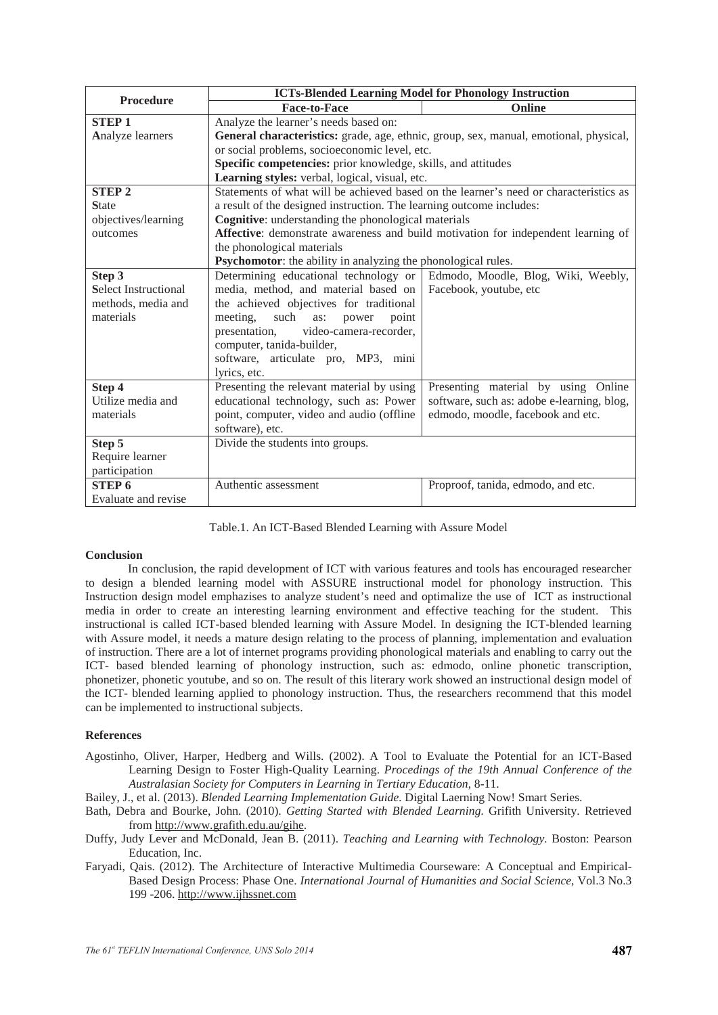| <b>Procedure</b>            | <b>ICTs-Blended Learning Model for Phonology Instruction</b>                          |                                            |
|-----------------------------|---------------------------------------------------------------------------------------|--------------------------------------------|
|                             | <b>Face-to-Face</b>                                                                   | Online                                     |
| <b>STEP1</b>                | Analyze the learner's needs based on:                                                 |                                            |
| Analyze learners            | General characteristics: grade, age, ethnic, group, sex, manual, emotional, physical, |                                            |
|                             | or social problems, socioeconomic level, etc.                                         |                                            |
|                             | Specific competencies: prior knowledge, skills, and attitudes                         |                                            |
|                             | Learning styles: verbal, logical, visual, etc.                                        |                                            |
| <b>STEP 2</b>               | Statements of what will be achieved based on the learner's need or characteristics as |                                            |
| <b>State</b>                | a result of the designed instruction. The learning outcome includes:                  |                                            |
| objectives/learning         | Cognitive: understanding the phonological materials                                   |                                            |
| outcomes                    | Affective: demonstrate awareness and build motivation for independent learning of     |                                            |
|                             | the phonological materials                                                            |                                            |
|                             | Psychomotor: the ability in analyzing the phonological rules.                         |                                            |
| Step 3                      | Determining educational technology or                                                 | Edmodo, Moodle, Blog, Wiki, Weebly,        |
| <b>Select Instructional</b> | media, method, and material based on                                                  | Facebook, youtube, etc                     |
| methods, media and          | the achieved objectives for traditional                                               |                                            |
| materials                   | meeting,<br>such<br>point<br>as:<br>power                                             |                                            |
|                             | video-camera-recorder,<br>presentation,                                               |                                            |
|                             | computer, tanida-builder,                                                             |                                            |
|                             | software, articulate pro, MP3, mini                                                   |                                            |
|                             | lyrics, etc.                                                                          |                                            |
| Step 4                      | Presenting the relevant material by using                                             | Presenting material by using Online        |
| Utilize media and           | educational technology, such as: Power                                                | software, such as: adobe e-learning, blog, |
| materials                   | point, computer, video and audio (offline                                             | edmodo, moodle, facebook and etc.          |
|                             | software), etc.                                                                       |                                            |
| Step 5                      | Divide the students into groups.                                                      |                                            |
| Require learner             |                                                                                       |                                            |
| participation               |                                                                                       |                                            |
| <b>STEP 6</b>               | Authentic assessment                                                                  | Proproof, tanida, edmodo, and etc.         |
| Evaluate and revise         |                                                                                       |                                            |

Table.1. An ICT-Based Blended Learning with Assure Model

#### **Conclusion**

In conclusion, the rapid development of ICT with various features and tools has encouraged researcher to design a blended learning model with ASSURE instructional model for phonology instruction. This Instruction design model emphazises to analyze student's need and optimalize the use of ICT as instructional media in order to create an interesting learning environment and effective teaching for the student. This instructional is called ICT-based blended learning with Assure Model. In designing the ICT-blended learning with Assure model, it needs a mature design relating to the process of planning, implementation and evaluation of instruction. There are a lot of internet programs providing phonological materials and enabling to carry out the ICT- based blended learning of phonology instruction, such as: edmodo, online phonetic transcription, phonetizer, phonetic youtube, and so on. The result of this literary work showed an instructional design model of the ICT- blended learning applied to phonology instruction. Thus, the researchers recommend that this model can be implemented to instructional subjects.

# **References**

Agostinho, Oliver, Harper, Hedberg and Wills. (2002). A Tool to Evaluate the Potential for an ICT-Based Learning Design to Foster High-Quality Learning. *Procedings of the 19th Annual Conference of the Australasian Society for Computers in Learning in Tertiary Education*, 8-11.

Bailey, J., et al. (2013). *Blended Learning Implementation Guide.* Digital Laerning Now! Smart Series.

- Bath, Debra and Bourke, John. (2010). *Getting Started with Blended Learning.* Grifith University. Retrieved from http://www.grafith.edu.au/gihe.
- Duffy, Judy Lever and McDonald, Jean B. (2011). *Teaching and Learning with Technology.* Boston: Pearson Education, Inc.
- Faryadi, Qais. (2012). The Architecture of Interactive Multimedia Courseware: A Conceptual and Empirical-Based Design Process: Phase One. *International Journal of Humanities and Social Science*, Vol.3 No.3 199 -206. http://www.ijhssnet.com